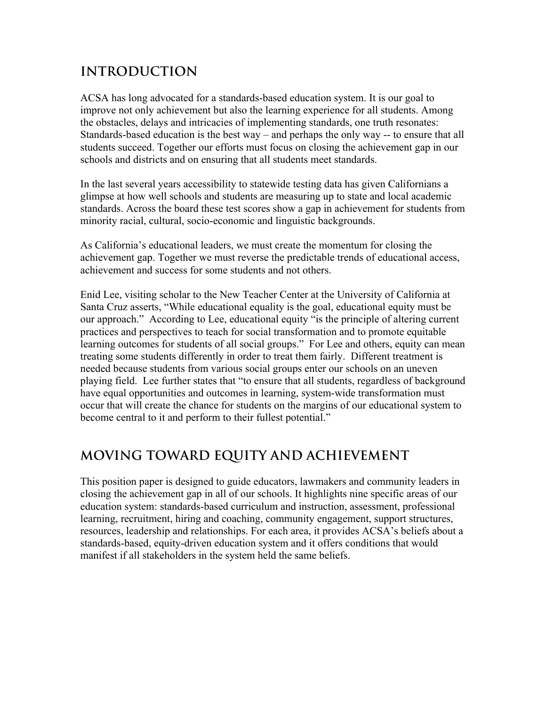## **INTRODUCTION**

ACSA has long advocated for a standards-based education system. It is our goal to improve not only achievement but also the learning experience for all students. Among the obstacles, delays and intricacies of implementing standards, one truth resonates: Standards-based education is the best way – and perhaps the only way -- to ensure that all students succeed. Together our efforts must focus on closing the achievement gap in our schools and districts and on ensuring that all students meet standards.

In the last several years accessibility to statewide testing data has given Californians a glimpse at how well schools and students are measuring up to state and local academic standards. Across the board these test scores show a gap in achievement for students from minority racial, cultural, socio-economic and linguistic backgrounds.

As California's educational leaders, we must create the momentum for closing the achievement gap. Together we must reverse the predictable trends of educational access, achievement and success for some students and not others.

Enid Lee, visiting scholar to the New Teacher Center at the University of California at Santa Cruz asserts, "While educational equality is the goal, educational equity must be our approach." According to Lee, educational equity "is the principle of altering current practices and perspectives to teach for social transformation and to promote equitable learning outcomes for students of all social groups." For Lee and others, equity can mean treating some students differently in order to treat them fairly. Different treatment is needed because students from various social groups enter our schools on an uneven playing field. Lee further states that "to ensure that all students, regardless of background have equal opportunities and outcomes in learning, system-wide transformation must occur that will create the chance for students on the margins of our educational system to become central to it and perform to their fullest potential."

# **MOVING TOWARD EQUITY AND ACHIEVEMENT**

This position paper is designed to guide educators, lawmakers and community leaders in closing the achievement gap in all of our schools. It highlights nine specific areas of our education system: standards-based curriculum and instruction, assessment, professional learning, recruitment, hiring and coaching, community engagement, support structures, resources, leadership and relationships. For each area, it provides ACSA's beliefs about a standards-based, equity-driven education system and it offers conditions that would manifest if all stakeholders in the system held the same beliefs.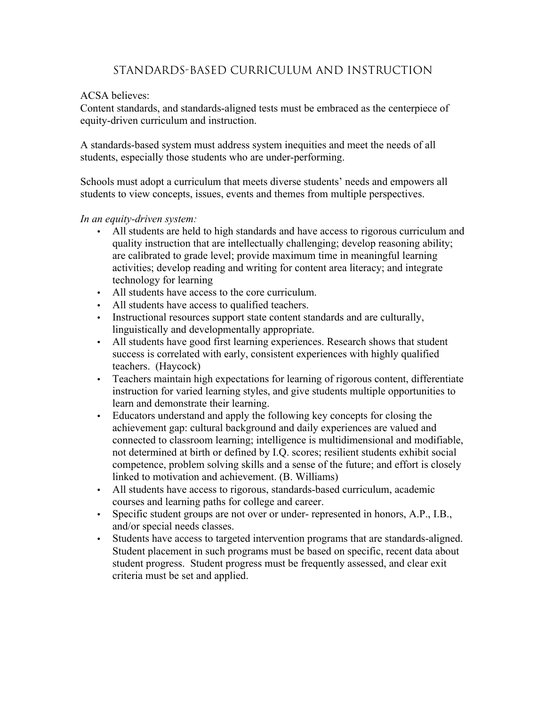### Standards-based Curriculum and Instruction

#### ACSA believes:

Content standards, and standards-aligned tests must be embraced as the centerpiece of equity-driven curriculum and instruction.

A standards-based system must address system inequities and meet the needs of all students, especially those students who are under-performing.

Schools must adopt a curriculum that meets diverse students' needs and empowers all students to view concepts, issues, events and themes from multiple perspectives.

- All students are held to high standards and have access to rigorous curriculum and quality instruction that are intellectually challenging; develop reasoning ability; are calibrated to grade level; provide maximum time in meaningful learning activities; develop reading and writing for content area literacy; and integrate technology for learning
- All students have access to the core curriculum.
- All students have access to qualified teachers.
- Instructional resources support state content standards and are culturally, linguistically and developmentally appropriate.
- All students have good first learning experiences. Research shows that student success is correlated with early, consistent experiences with highly qualified teachers. (Haycock)
- Teachers maintain high expectations for learning of rigorous content, differentiate instruction for varied learning styles, and give students multiple opportunities to learn and demonstrate their learning.
- Educators understand and apply the following key concepts for closing the achievement gap: cultural background and daily experiences are valued and connected to classroom learning; intelligence is multidimensional and modifiable, not determined at birth or defined by I.Q. scores; resilient students exhibit social competence, problem solving skills and a sense of the future; and effort is closely linked to motivation and achievement. (B. Williams)
- All students have access to rigorous, standards-based curriculum, academic courses and learning paths for college and career.
- Specific student groups are not over or under- represented in honors, A.P., I.B., and/or special needs classes.
- Students have access to targeted intervention programs that are standards-aligned. Student placement in such programs must be based on specific, recent data about student progress. Student progress must be frequently assessed, and clear exit criteria must be set and applied.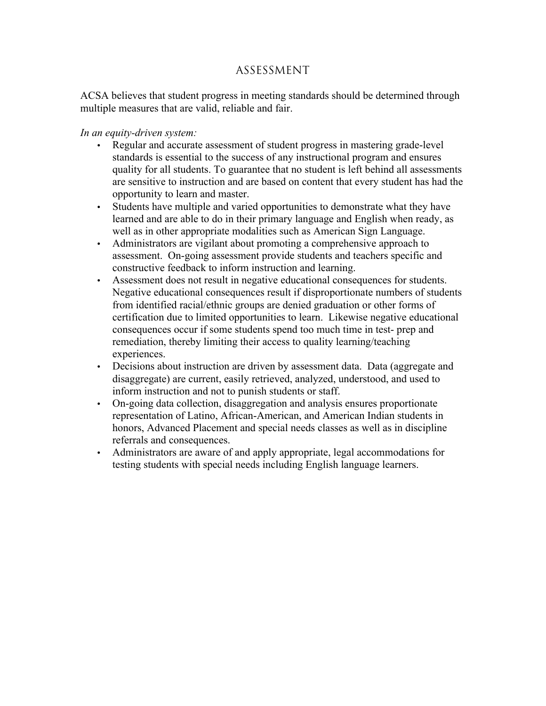### Assessment

ACSA believes that student progress in meeting standards should be determined through multiple measures that are valid, reliable and fair.

- Regular and accurate assessment of student progress in mastering grade-level standards is essential to the success of any instructional program and ensures quality for all students. To guarantee that no student is left behind all assessments are sensitive to instruction and are based on content that every student has had the opportunity to learn and master.
- Students have multiple and varied opportunities to demonstrate what they have learned and are able to do in their primary language and English when ready, as well as in other appropriate modalities such as American Sign Language.
- Administrators are vigilant about promoting a comprehensive approach to assessment. On-going assessment provide students and teachers specific and constructive feedback to inform instruction and learning.
- Assessment does not result in negative educational consequences for students. Negative educational consequences result if disproportionate numbers of students from identified racial/ethnic groups are denied graduation or other forms of certification due to limited opportunities to learn. Likewise negative educational consequences occur if some students spend too much time in test- prep and remediation, thereby limiting their access to quality learning/teaching experiences.
- Decisions about instruction are driven by assessment data. Data (aggregate and disaggregate) are current, easily retrieved, analyzed, understood, and used to inform instruction and not to punish students or staff.
- On-going data collection, disaggregation and analysis ensures proportionate representation of Latino, African-American, and American Indian students in honors, Advanced Placement and special needs classes as well as in discipline referrals and consequences.
- Administrators are aware of and apply appropriate, legal accommodations for testing students with special needs including English language learners.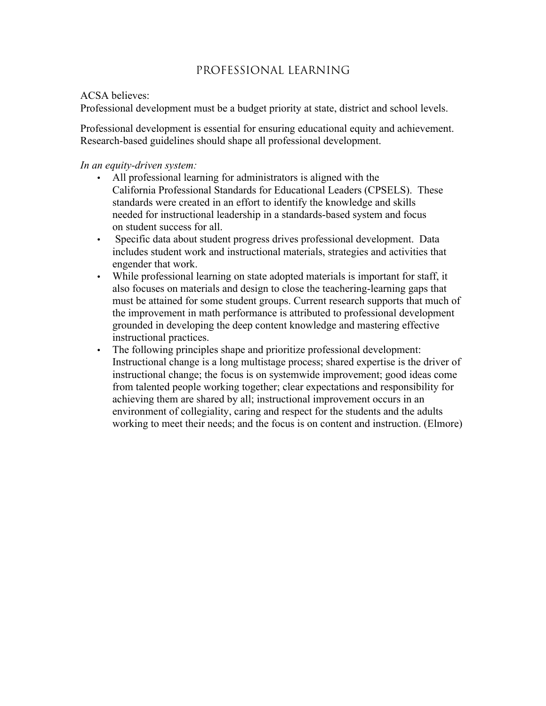### Professional Learning

#### ACSA believes:

Professional development must be a budget priority at state, district and school levels.

Professional development is essential for ensuring educational equity and achievement. Research-based guidelines should shape all professional development.

- All professional learning for administrators is aligned with the California Professional Standards for Educational Leaders (CPSELS). These standards were created in an effort to identify the knowledge and skills needed for instructional leadership in a standards-based system and focus on student success for all.
- Specific data about student progress drives professional development. Data includes student work and instructional materials, strategies and activities that engender that work.
- While professional learning on state adopted materials is important for staff, it also focuses on materials and design to close the teachering-learning gaps that must be attained for some student groups. Current research supports that much of the improvement in math performance is attributed to professional development grounded in developing the deep content knowledge and mastering effective instructional practices.
- The following principles shape and prioritize professional development: Instructional change is a long multistage process; shared expertise is the driver of instructional change; the focus is on systemwide improvement; good ideas come from talented people working together; clear expectations and responsibility for achieving them are shared by all; instructional improvement occurs in an environment of collegiality, caring and respect for the students and the adults working to meet their needs; and the focus is on content and instruction. (Elmore)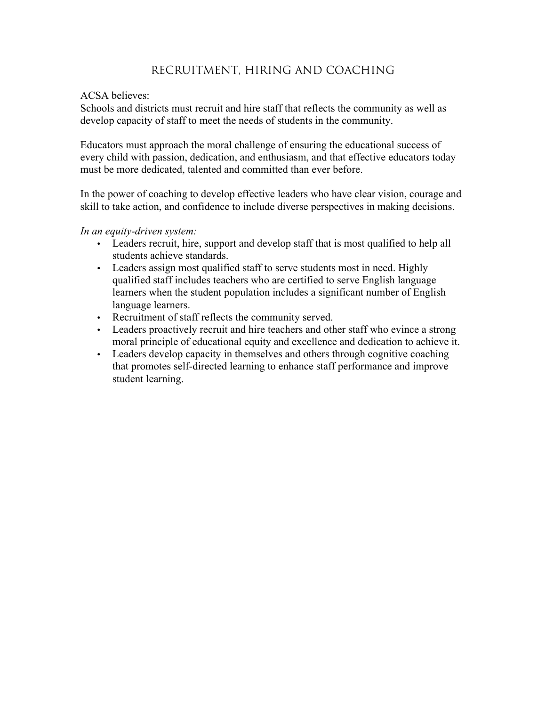### Recruitment, Hiring and Coaching

#### ACSA believes:

Schools and districts must recruit and hire staff that reflects the community as well as develop capacity of staff to meet the needs of students in the community.

Educators must approach the moral challenge of ensuring the educational success of every child with passion, dedication, and enthusiasm, and that effective educators today must be more dedicated, talented and committed than ever before.

In the power of coaching to develop effective leaders who have clear vision, courage and skill to take action, and confidence to include diverse perspectives in making decisions.

- Leaders recruit, hire, support and develop staff that is most qualified to help all students achieve standards.
- Leaders assign most qualified staff to serve students most in need. Highly qualified staff includes teachers who are certified to serve English language learners when the student population includes a significant number of English language learners.
- Recruitment of staff reflects the community served.
- Leaders proactively recruit and hire teachers and other staff who evince a strong moral principle of educational equity and excellence and dedication to achieve it.
- Leaders develop capacity in themselves and others through cognitive coaching that promotes self-directed learning to enhance staff performance and improve student learning.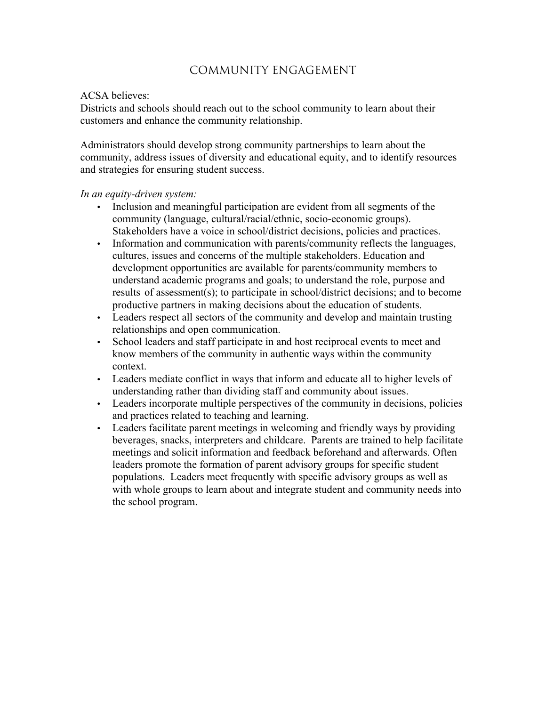### Community Engagement

#### ACSA believes:

Districts and schools should reach out to the school community to learn about their customers and enhance the community relationship.

Administrators should develop strong community partnerships to learn about the community, address issues of diversity and educational equity, and to identify resources and strategies for ensuring student success.

- Inclusion and meaningful participation are evident from all segments of the community (language, cultural/racial/ethnic, socio-economic groups). Stakeholders have a voice in school/district decisions, policies and practices.
- Information and communication with parents/community reflects the languages, cultures, issues and concerns of the multiple stakeholders. Education and development opportunities are available for parents/community members to understand academic programs and goals; to understand the role, purpose and results of assessment(s); to participate in school/district decisions; and to become productive partners in making decisions about the education of students.
- Leaders respect all sectors of the community and develop and maintain trusting relationships and open communication.
- School leaders and staff participate in and host reciprocal events to meet and know members of the community in authentic ways within the community context.
- Leaders mediate conflict in ways that inform and educate all to higher levels of understanding rather than dividing staff and community about issues.
- Leaders incorporate multiple perspectives of the community in decisions, policies and practices related to teaching and learning.
- Leaders facilitate parent meetings in welcoming and friendly ways by providing beverages, snacks, interpreters and childcare. Parents are trained to help facilitate meetings and solicit information and feedback beforehand and afterwards. Often leaders promote the formation of parent advisory groups for specific student populations. Leaders meet frequently with specific advisory groups as well as with whole groups to learn about and integrate student and community needs into the school program.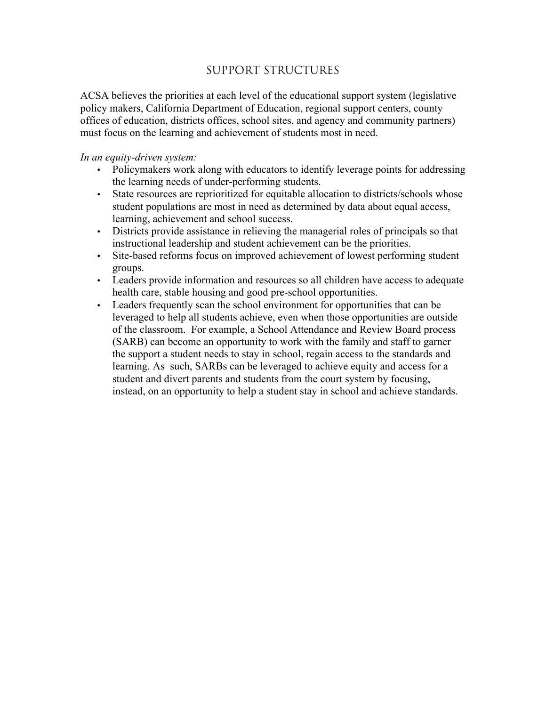### Support Structures

ACSA believes the priorities at each level of the educational support system (legislative policy makers, California Department of Education, regional support centers, county offices of education, districts offices, school sites, and agency and community partners) must focus on the learning and achievement of students most in need.

- Policymakers work along with educators to identify leverage points for addressing the learning needs of under-performing students.
- State resources are reprioritized for equitable allocation to districts/schools whose student populations are most in need as determined by data about equal access, learning, achievement and school success.
- Districts provide assistance in relieving the managerial roles of principals so that instructional leadership and student achievement can be the priorities.
- Site-based reforms focus on improved achievement of lowest performing student groups.
- Leaders provide information and resources so all children have access to adequate health care, stable housing and good pre-school opportunities.
- Leaders frequently scan the school environment for opportunities that can be leveraged to help all students achieve, even when those opportunities are outside of the classroom. For example, a School Attendance and Review Board process (SARB) can become an opportunity to work with the family and staff to garner the support a student needs to stay in school, regain access to the standards and learning. As such, SARBs can be leveraged to achieve equity and access for a student and divert parents and students from the court system by focusing, instead, on an opportunity to help a student stay in school and achieve standards.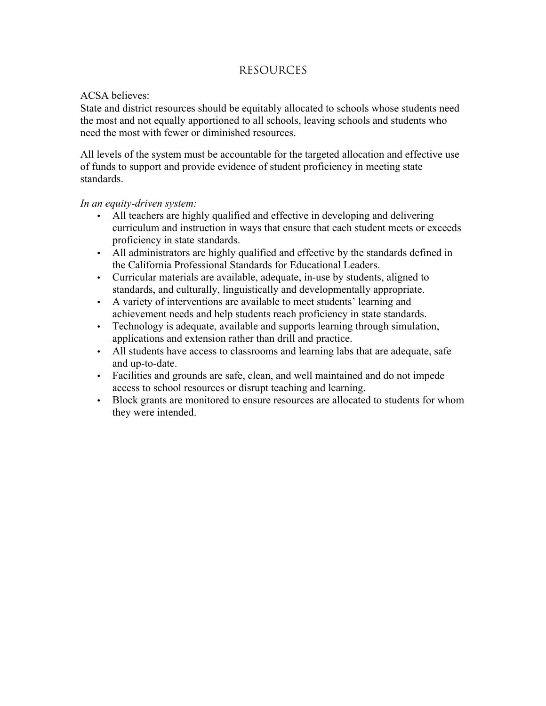### Resources

#### ACSA believes:

State and district resources should be equitably allocated to schools whose students need the most and not equally apportioned to all schools, leaving schools and students who need the most with fewer or diminished resources.

All levels of the system must be accountable for the targeted allocation and effective use of funds to support and provide evidence of student proficiency in meeting state standards.

- All teachers are highly qualified and effective in developing and delivering curriculum and instruction in ways that ensure that each student meets or exceeds proficiency in state standards.
- All administrators are highly qualified and effective by the standards defined in the California Professional Standards for Educational Leaders.
- Curricular materials are available, adequate, in-use by students, aligned to standards, and culturally, linguistically and developmentally appropriate.
- A variety of interventions are available to meet students' learning and achievement needs and help students reach proficiency in state standards.
- Technology is adequate, available and supports learning through simulation, applications and extension rather than drill and practice.
- All students have access to classrooms and learning labs that are adequate, safe and up-to-date.
- Facilities and grounds are safe, clean, and well maintained and do not impede access to school resources or disrupt teaching and learning.
- Block grants are monitored to ensure resources are allocated to students for whom they were intended.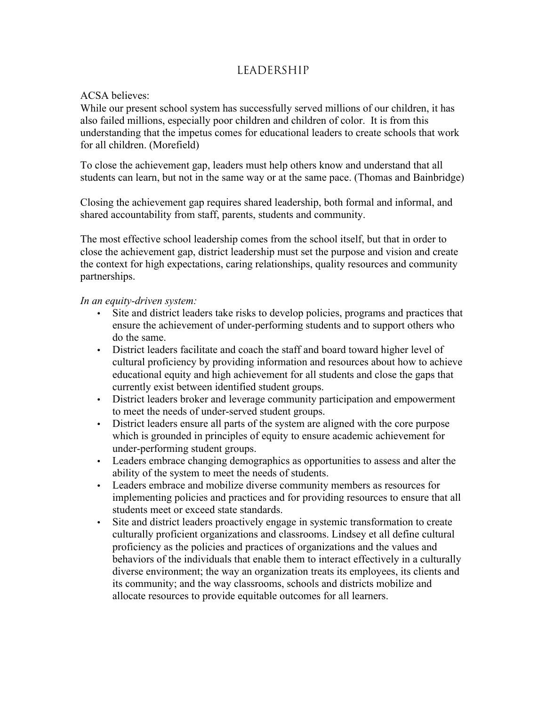### Leadership

#### ACSA believes:

While our present school system has successfully served millions of our children, it has also failed millions, especially poor children and children of color. It is from this understanding that the impetus comes for educational leaders to create schools that work for all children. (Morefield)

To close the achievement gap, leaders must help others know and understand that all students can learn, but not in the same way or at the same pace. (Thomas and Bainbridge)

Closing the achievement gap requires shared leadership, both formal and informal, and shared accountability from staff, parents, students and community.

The most effective school leadership comes from the school itself, but that in order to close the achievement gap, district leadership must set the purpose and vision and create the context for high expectations, caring relationships, quality resources and community partnerships.

- Site and district leaders take risks to develop policies, programs and practices that ensure the achievement of under-performing students and to support others who do the same.
- District leaders facilitate and coach the staff and board toward higher level of cultural proficiency by providing information and resources about how to achieve educational equity and high achievement for all students and close the gaps that currently exist between identified student groups.
- District leaders broker and leverage community participation and empowerment to meet the needs of under-served student groups.
- District leaders ensure all parts of the system are aligned with the core purpose which is grounded in principles of equity to ensure academic achievement for under-performing student groups.
- Leaders embrace changing demographics as opportunities to assess and alter the ability of the system to meet the needs of students.
- Leaders embrace and mobilize diverse community members as resources for implementing policies and practices and for providing resources to ensure that all students meet or exceed state standards.
- Site and district leaders proactively engage in systemic transformation to create culturally proficient organizations and classrooms. Lindsey et all define cultural proficiency as the policies and practices of organizations and the values and behaviors of the individuals that enable them to interact effectively in a culturally diverse environment; the way an organization treats its employees, its clients and its community; and the way classrooms, schools and districts mobilize and allocate resources to provide equitable outcomes for all learners.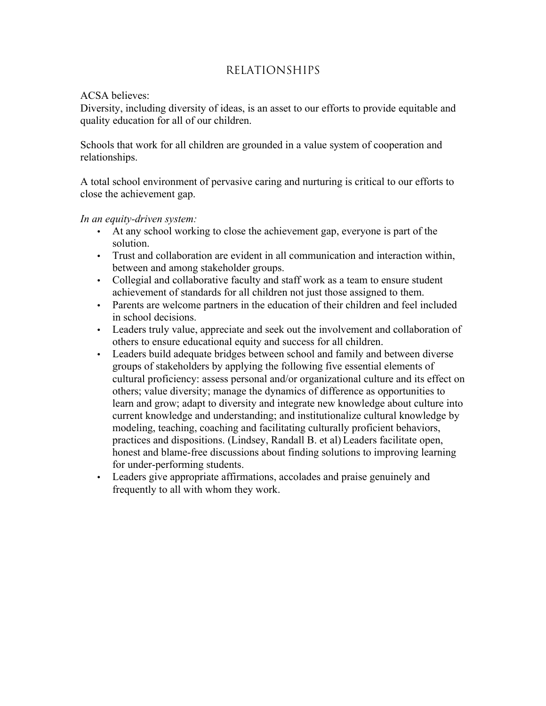### Relationships

#### ACSA believes:

Diversity, including diversity of ideas, is an asset to our efforts to provide equitable and quality education for all of our children.

Schools that work for all children are grounded in a value system of cooperation and relationships.

A total school environment of pervasive caring and nurturing is critical to our efforts to close the achievement gap.

- At any school working to close the achievement gap, everyone is part of the solution.
- Trust and collaboration are evident in all communication and interaction within, between and among stakeholder groups.
- Collegial and collaborative faculty and staff work as a team to ensure student achievement of standards for all children not just those assigned to them.
- Parents are welcome partners in the education of their children and feel included in school decisions.
- Leaders truly value, appreciate and seek out the involvement and collaboration of others to ensure educational equity and success for all children.
- Leaders build adequate bridges between school and family and between diverse groups of stakeholders by applying the following five essential elements of cultural proficiency: assess personal and/or organizational culture and its effect on others; value diversity; manage the dynamics of difference as opportunities to learn and grow; adapt to diversity and integrate new knowledge about culture into current knowledge and understanding; and institutionalize cultural knowledge by modeling, teaching, coaching and facilitating culturally proficient behaviors, practices and dispositions. (Lindsey, Randall B. et al) Leaders facilitate open, honest and blame-free discussions about finding solutions to improving learning for under-performing students.
- Leaders give appropriate affirmations, accolades and praise genuinely and frequently to all with whom they work.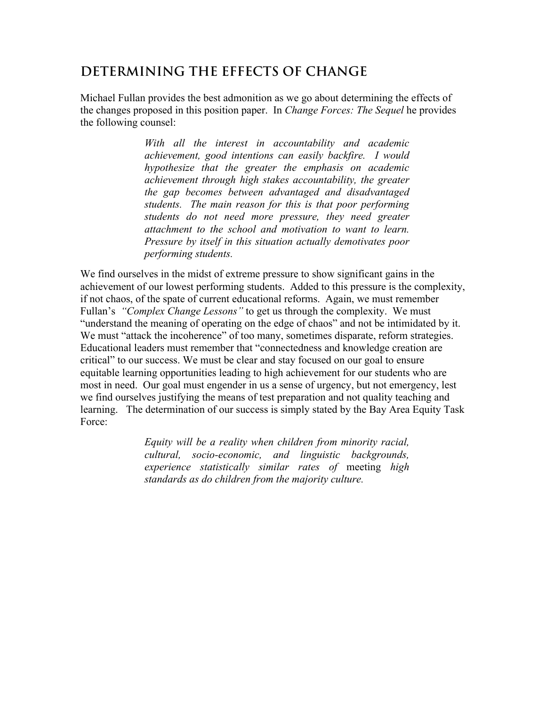## **DETERMINING THE EFFECTS OF CHANGE**

Michael Fullan provides the best admonition as we go about determining the effects of the changes proposed in this position paper. In *Change Forces: The Sequel* he provides the following counsel:

> *With all the interest in accountability and academic achievement, good intentions can easily backfire. I would hypothesize that the greater the emphasis on academic achievement through high stakes accountability, the greater the gap becomes between advantaged and disadvantaged students. The main reason for this is that poor performing students do not need more pressure, they need greater attachment to the school and motivation to want to learn. Pressure by itself in this situation actually demotivates poor performing students.*

We find ourselves in the midst of extreme pressure to show significant gains in the achievement of our lowest performing students. Added to this pressure is the complexity, if not chaos, of the spate of current educational reforms. Again, we must remember Fullan's *"Complex Change Lessons"* to get us through the complexity. We must "understand the meaning of operating on the edge of chaos" and not be intimidated by it. We must "attack the incoherence" of too many, sometimes disparate, reform strategies. Educational leaders must remember that "connectedness and knowledge creation are critical" to our success. We must be clear and stay focused on our goal to ensure equitable learning opportunities leading to high achievement for our students who are most in need. Our goal must engender in us a sense of urgency, but not emergency, lest we find ourselves justifying the means of test preparation and not quality teaching and learning. The determination of our success is simply stated by the Bay Area Equity Task Force:

> *Equity will be a reality when children from minority racial, cultural, socio-economic, and linguistic backgrounds, experience statistically similar rates of* meeting *high standards as do children from the majority culture.*